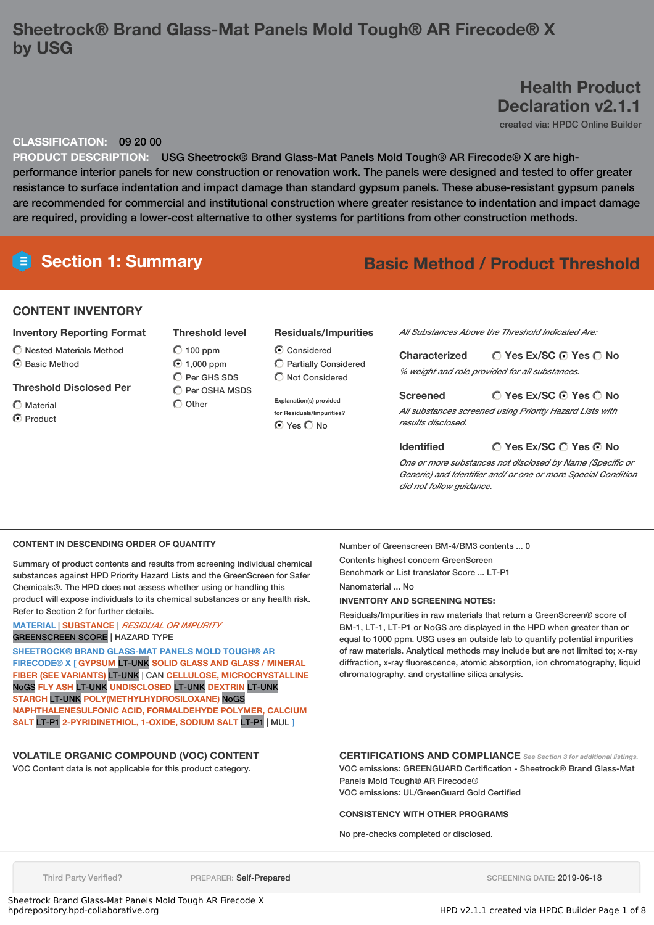# **Sheetrock® Brand Glass-Mat Panels Mold Tough® AR Firecode® X by USG**

# **Health Product Declaration v2.1.1**

created via: HPDC Online Builder

# **CLASSIFICATION:** 09 20 00

**PRODUCT DESCRIPTION:** USG Sheetrock® Brand Glass-Mat Panels Mold Tough® AR Firecode® X are highperformance interior panels for new construction or renovation work. The panels were designed and tested to offer greater resistance to surface indentation and impact damage than standard gypsum panels. These abuse-resistant gypsum panels are recommended for commercial and institutional construction where greater resistance to indentation and impact damage are required, providing a lower-cost alternative to other systems for partitions from other construction methods.

# **Section 1: Summary Basic Method / Product Threshold**

### **CONTENT INVENTORY**

## **Inventory Reporting Format**

- $\bigcirc$  Nested Materials Method
- ◯ Basic Method

### **Threshold Disclosed Per**

- Material
- C Product

**Threshold level**  $O$  100 ppm

 $\bigcirc$  Other

#### ◯ 1,000 ppm  $\overline{C}$  Per GHS SDS  $\widehat{C}$  Per OSHA MSDS Considered Partially Considered  $\bigcap$  Not Considered

**Explanation(s) provided for Residuals/Impurities?** ⊙ Yes O No

**Residuals/Impurities**

*All Substances Above the Threshold Indicated Are:*

| <b>Characterized</b> | ○ Yes Ex/SC ⊙ Yes ○ No                                  |
|----------------------|---------------------------------------------------------|
|                      | % weight and role provided for all substances.          |
| <b>Screened</b>      | $\bigcap$ Yes Ex/SC $\bigcirc$ Yes $\bigcirc$ No        |
|                      | All substances covered using Duisuit Homewol Lists with |

*All substances screened using Priority Hazard Lists with results disclosed.*

#### **Identified**

*One or more substances not disclosed by Name (Specific or Generic) and Identifier and/ or one or more Special Condition did not follow guidance.*

**Yes Ex/SC Yes No**

### **CONTENT IN DESCENDING ORDER OF QUANTITY**

Summary of product contents and results from screening individual chemical substances against HPD Priority Hazard Lists and the GreenScreen for Safer Chemicals®. The HPD does not assess whether using or handling this product will expose individuals to its chemical substances or any health risk. Refer to Section 2 for further details.

#### **MATERIAL** | **SUBSTANCE** | *RESIDUAL OR IMPURITY* GREENSCREEN SCORE | HAZARD TYPE

**SHEETROCK® BRAND GLASS-MAT PANELS MOLD TOUGH® AR FIRECODE® X [ GYPSUM** LT-UNK **SOLID GLASS AND GLASS / MINERAL FIBER (SEE VARIANTS)** LT-UNK | CAN **CELLULOSE, MICROCRYSTALLINE** NoGS **FLY ASH** LT-UNK **UNDISCLOSED** LT-UNK **DEXTRIN** LT-UNK **STARCH** LT-UNK **POLY(METHYLHYDROSILOXANE)** NoGS **NAPHTHALENESULFONIC ACID, FORMALDEHYDE POLYMER, CALCIUM SALT** LT-P1 **2-PYRIDINETHIOL, 1-OXIDE, SODIUM SALT** LT-P1 | MUL **]**

**VOLATILE ORGANIC COMPOUND (VOC) CONTENT**

VOC Content data is not applicable for this product category.

Number of Greenscreen BM-4/BM3 contents ... 0 Contents highest concern GreenScreen Benchmark or List translator Score ... LT-P1 Nanomaterial No **INVENTORY AND SCREENING NOTES:**

Residuals/Impurities in raw materials that return a GreenScreen® score of BM-1, LT-1, LT-P1 or NoGS are displayed in the HPD when greater than or equal to 1000 ppm. USG uses an outside lab to quantify potential impurities of raw materials. Analytical methods may include but are not limited to; x-ray diffraction, x-ray fluorescence, atomic absorption, ion chromatography, liquid chromatography, and crystalline silica analysis.

**CERTIFICATIONS AND COMPLIANCE** *See Section <sup>3</sup> for additional listings.* VOC emissions: GREENGUARD Certification - Sheetrock® Brand Glass-Mat Panels Mold Tough® AR Firecode® VOC emissions: UL/GreenGuard Gold Certified

#### **CONSISTENCY WITH OTHER PROGRAMS**

No pre-checks completed or disclosed.

Third Party Verified? **PREPARER: Self-Prepared** SCREENING DATE: 2019-06-18

Sheetrock Brand Glass-Mat Panels Mold Tough AR Firecode X<br>hpdrepository.hpd-collaborative.org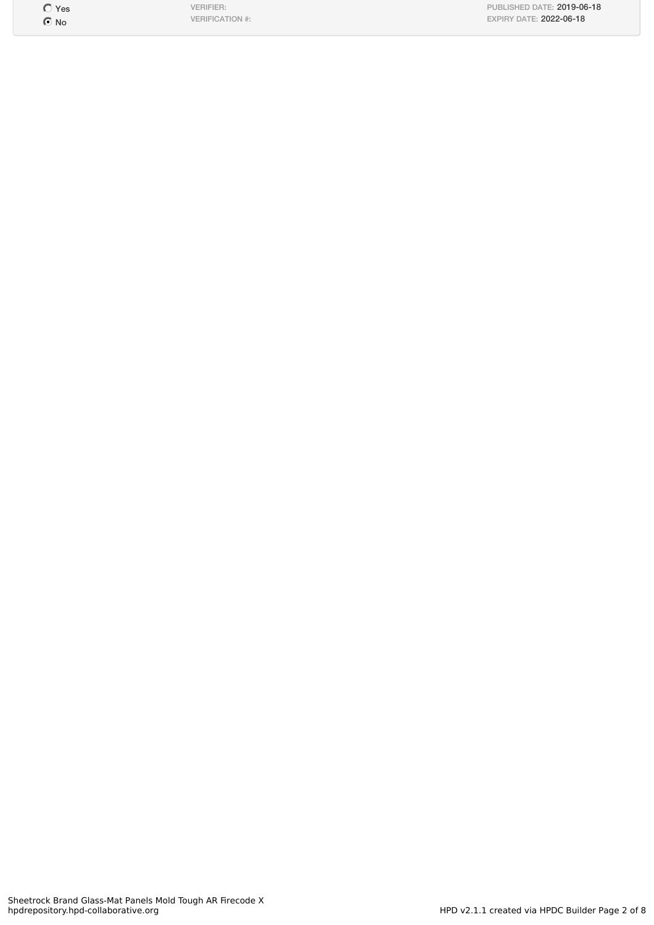O Yes  $\odot$  No

VERIFIER: VERIFICATION #: PUBLISHED DATE: 2019-06-18 EXPIRY DATE: 2022-06-18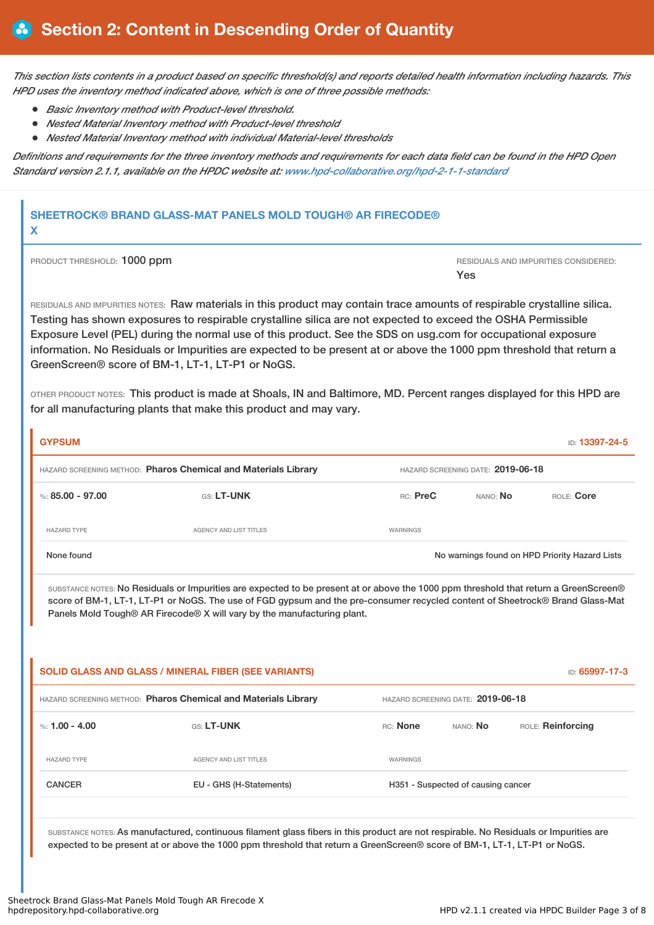This section lists contents in a product based on specific threshold(s) and reports detailed health information including hazards. This *HPD uses the inventory method indicated above, which is one of three possible methods:*

- *Basic Inventory method with Product-level threshold.*
- *Nested Material Inventory method with Product-level threshold*
- *Nested Material Inventory method with individual Material-level thresholds*

Definitions and requirements for the three inventory methods and requirements for each data field can be found in the HPD Open *Standard version 2.1.1, available on the HPDC website at: [www.hpd-collaborative.org/hpd-2-1-1-standard](https://www.hpd-collaborative.org/hpd-2-1-1-standard)*

# **SHEETROCK® BRAND GLASS-MAT PANELS MOLD TOUGH® AR FIRECODE®**

#### **X**

PRODUCT THRESHOLD: 1000 ppm **RESIDUALS** AND IMPURITIES CONSIDERED: Yes

RESIDUALS AND IMPURITIES NOTES: Raw materials in this product may contain trace amounts of respirable crystalline silica. Testing has shown exposures to respirable crystalline silica are not expected to exceed the OSHA Permissible Exposure Level (PEL) during the normal use of this product. See the SDS on usg.com for occupational exposure information. No Residuals or Impurities are expected to be present at or above the 1000 ppm threshold that return a GreenScreen® score of BM-1, LT-1, LT-P1 or NoGS.

OTHER PRODUCT NOTES: This product is made at Shoals, IN and Baltimore, MD. Percent ranges displayed for this HPD are for all manufacturing plants that make this product and may vary.

| <b>GYPSUM</b>                                                  |                        |                                   |          | <b>ID: 13397-24-5</b>                          |
|----------------------------------------------------------------|------------------------|-----------------------------------|----------|------------------------------------------------|
| HAZARD SCREENING METHOD: Pharos Chemical and Materials Library |                        | HAZARD SCREENING DATE: 2019-06-18 |          |                                                |
| %: $85.00 - 97.00$                                             | <b>GS: LT-UNK</b>      | RC: PreC                          | NANO: No | ROLE: Core                                     |
| <b>HAZARD TYPE</b>                                             | AGENCY AND LIST TITLES | WARNINGS                          |          |                                                |
| None found                                                     |                        |                                   |          | No warnings found on HPD Priority Hazard Lists |

SUBSTANCE NOTES: No Residuals or Impurities are expected to be present at or above the 1000 ppm threshold that return a GreenScreen® score of BM-1, LT-1, LT-P1 or NoGS. The use of FGD gypsum and the pre-consumer recycled content of Sheetrock® Brand Glass-Mat Panels Mold Tough® AR Firecode® X will vary by the manufacturing plant.

| <b>SOLID GLASS AND GLASS / MINERAL FIBER (SEE VARIANTS)</b><br>ID: 65997-17-3 |                         |                                   |                                    |                   |  |
|-------------------------------------------------------------------------------|-------------------------|-----------------------------------|------------------------------------|-------------------|--|
| HAZARD SCREENING METHOD: Pharos Chemical and Materials Library                |                         | HAZARD SCREENING DATE: 2019-06-18 |                                    |                   |  |
| %: 1.00 - 4.00                                                                | GS: LT-UNK              | <b>RC:</b> None                   | NANO: <b>No</b>                    | ROLE: Reinforcing |  |
| <b>HAZARD TYPE</b>                                                            | AGENCY AND LIST TITLES  | WARNINGS                          |                                    |                   |  |
| <b>CANCER</b>                                                                 | EU - GHS (H-Statements) |                                   | H351 - Suspected of causing cancer |                   |  |
|                                                                               |                         |                                   |                                    |                   |  |

SUBSTANCE NOTES: As manufactured, continuous filament glass fibers in this product are not respirable. No Residuals or Impurities are expected to be present at or above the 1000 ppm threshold that return a GreenScreen® score of BM-1, LT-1, LT-P1 or NoGS.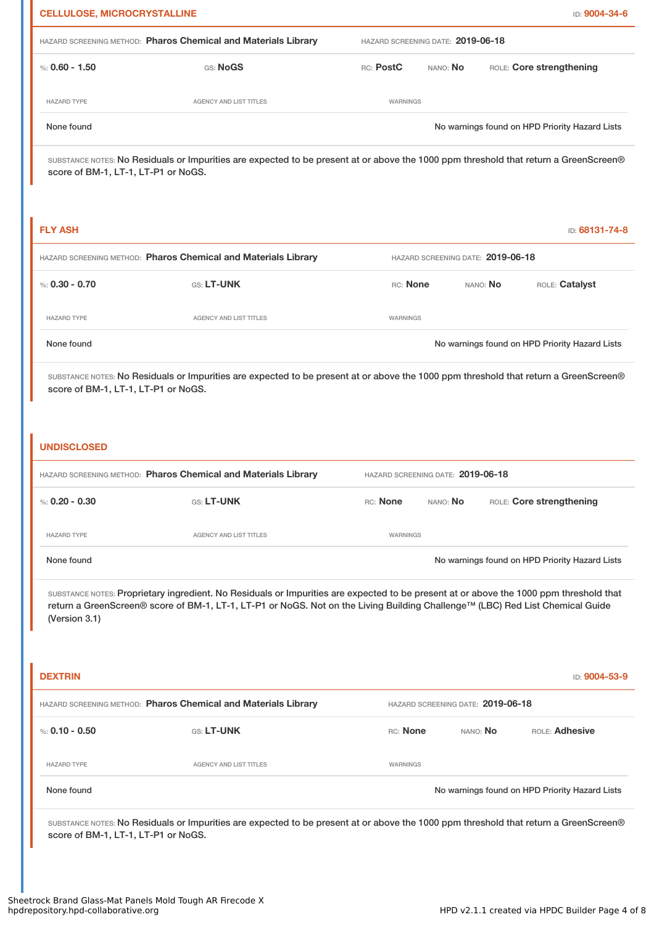|                                                                            | HAZARD SCREENING METHOD: Pharos Chemical and Materials Library                                                                                                                                                                                                          | HAZARD SCREENING DATE: 2019-06-18                                                                                                    |                                   |                 |                                                |
|----------------------------------------------------------------------------|-------------------------------------------------------------------------------------------------------------------------------------------------------------------------------------------------------------------------------------------------------------------------|--------------------------------------------------------------------------------------------------------------------------------------|-----------------------------------|-----------------|------------------------------------------------|
| %: $0.60 - 1.50$                                                           | GS: NoGS                                                                                                                                                                                                                                                                | RC: PostC                                                                                                                            | NANO: No                          |                 | ROLE: Core strengthening                       |
| <b>HAZARD TYPE</b>                                                         | AGENCY AND LIST TITLES                                                                                                                                                                                                                                                  | WARNINGS                                                                                                                             |                                   |                 |                                                |
| None found                                                                 |                                                                                                                                                                                                                                                                         |                                                                                                                                      |                                   |                 | No warnings found on HPD Priority Hazard Lists |
| score of BM-1, LT-1, LT-P1 or NoGS.                                        | SUBSTANCE NOTES: No Residuals or Impurities are expected to be present at or above the 1000 ppm threshold that return a GreenScreen®                                                                                                                                    |                                                                                                                                      |                                   |                 |                                                |
| <b>FLY ASH</b>                                                             |                                                                                                                                                                                                                                                                         |                                                                                                                                      |                                   |                 | ID: 68131-74-8                                 |
|                                                                            | HAZARD SCREENING METHOD: Pharos Chemical and Materials Library                                                                                                                                                                                                          |                                                                                                                                      | HAZARD SCREENING DATE: 2019-06-18 |                 |                                                |
| %: $0.30 - 0.70$                                                           | GS: LT-UNK                                                                                                                                                                                                                                                              | RC: None                                                                                                                             |                                   | NANO: <b>No</b> | ROLE: Catalyst                                 |
| <b>HAZARD TYPE</b>                                                         | <b>AGENCY AND LIST TITLES</b>                                                                                                                                                                                                                                           | WARNINGS                                                                                                                             |                                   |                 |                                                |
| None found                                                                 |                                                                                                                                                                                                                                                                         |                                                                                                                                      |                                   |                 | No warnings found on HPD Priority Hazard Lists |
| score of BM-1, LT-1, LT-P1 or NoGS.                                        |                                                                                                                                                                                                                                                                         | SUBSTANCE NOTES: No Residuals or Impurities are expected to be present at or above the 1000 ppm threshold that return a GreenScreen® |                                   |                 |                                                |
|                                                                            | HAZARD SCREENING METHOD: Pharos Chemical and Materials Library<br>GS: LT-UNK                                                                                                                                                                                            | HAZARD SCREENING DATE: 2019-06-18<br>RC: None                                                                                        | NANO: No                          |                 | ROLE: Core strengthening                       |
|                                                                            |                                                                                                                                                                                                                                                                         |                                                                                                                                      |                                   |                 |                                                |
| <b>UNDISCLOSED</b><br>%: $0.20 - 0.30$<br><b>HAZARD TYPE</b><br>None found | <b>AGENCY AND LIST TITLES</b>                                                                                                                                                                                                                                           | WARNINGS                                                                                                                             |                                   |                 | No warnings found on HPD Priority Hazard Lists |
| (Version 3.1)                                                              | SUBSTANCE NOTES: Proprietary ingredient. No Residuals or Impurities are expected to be present at or above the 1000 ppm threshold that<br>return a GreenScreen® score of BM-1, LT-1, LT-P1 or NoGS. Not on the Living Building Challenge™ (LBC) Red List Chemical Guide |                                                                                                                                      |                                   |                 |                                                |
|                                                                            |                                                                                                                                                                                                                                                                         |                                                                                                                                      |                                   |                 | ID: 9004-53-9                                  |
| <b>DEXTRIN</b>                                                             | HAZARD SCREENING METHOD: Pharos Chemical and Materials Library                                                                                                                                                                                                          |                                                                                                                                      | HAZARD SCREENING DATE: 2019-06-18 |                 |                                                |
| %: $0.10 - 0.50$                                                           | GS: LT-UNK                                                                                                                                                                                                                                                              | RC: None                                                                                                                             |                                   | NANO: No        | ROLE: Adhesive                                 |
| <b>HAZARD TYPE</b>                                                         | <b>AGENCY AND LIST TITLES</b>                                                                                                                                                                                                                                           | WARNINGS                                                                                                                             |                                   |                 |                                                |
| None found                                                                 |                                                                                                                                                                                                                                                                         |                                                                                                                                      |                                   |                 | No warnings found on HPD Priority Hazard Lists |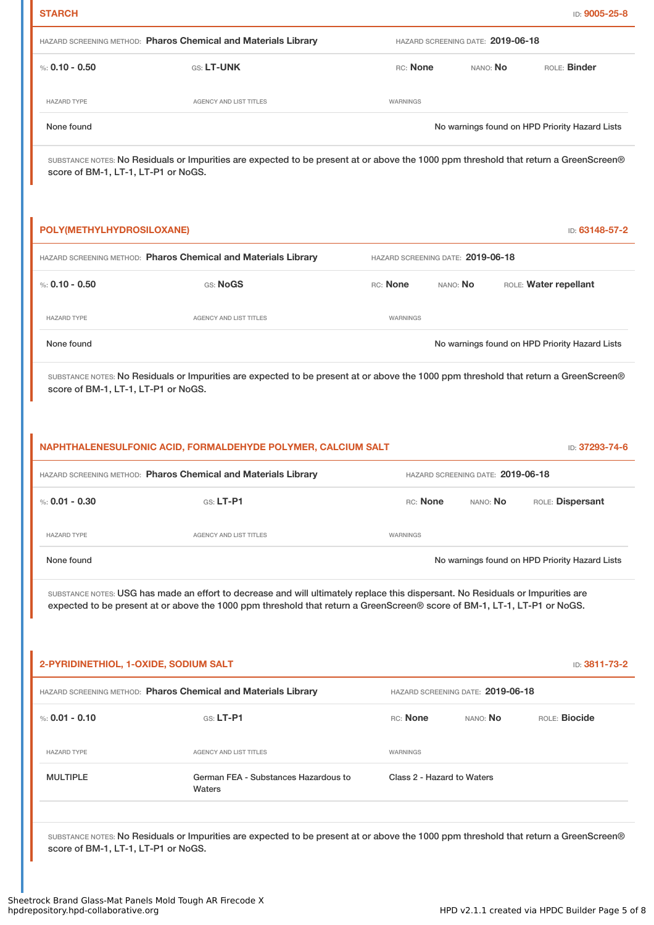| <b>STARCH</b>                                                                                                                                                                                                                                               |                                                                                                                                      |                                   |                                   |                                                |
|-------------------------------------------------------------------------------------------------------------------------------------------------------------------------------------------------------------------------------------------------------------|--------------------------------------------------------------------------------------------------------------------------------------|-----------------------------------|-----------------------------------|------------------------------------------------|
|                                                                                                                                                                                                                                                             |                                                                                                                                      |                                   |                                   | ID: 9005-25-8                                  |
|                                                                                                                                                                                                                                                             | HAZARD SCREENING METHOD: Pharos Chemical and Materials Library                                                                       |                                   | HAZARD SCREENING DATE: 2019-06-18 |                                                |
| %: $0.10 - 0.50$                                                                                                                                                                                                                                            | GS: LT-UNK                                                                                                                           | RC: None                          | NANO: No                          | ROLE: Binder                                   |
| <b>HAZARD TYPE</b>                                                                                                                                                                                                                                          | AGENCY AND LIST TITLES                                                                                                               | WARNINGS                          |                                   |                                                |
| None found                                                                                                                                                                                                                                                  |                                                                                                                                      |                                   |                                   | No warnings found on HPD Priority Hazard Lists |
| score of BM-1, LT-1, LT-P1 or NoGS.                                                                                                                                                                                                                         | SUBSTANCE NOTES: No Residuals or Impurities are expected to be present at or above the 1000 ppm threshold that return a GreenScreen® |                                   |                                   |                                                |
| POLY(METHYLHYDROSILOXANE)                                                                                                                                                                                                                                   |                                                                                                                                      |                                   |                                   | ID: 63148-57-2                                 |
|                                                                                                                                                                                                                                                             | HAZARD SCREENING METHOD: Pharos Chemical and Materials Library                                                                       | HAZARD SCREENING DATE: 2019-06-18 |                                   |                                                |
| %: $0.10 - 0.50$                                                                                                                                                                                                                                            | GS: NoGS                                                                                                                             | RC: None                          | NANO: No                          | ROLE: Water repellant                          |
| <b>HAZARD TYPE</b>                                                                                                                                                                                                                                          | AGENCY AND LIST TITLES                                                                                                               | WARNINGS                          |                                   |                                                |
| None found                                                                                                                                                                                                                                                  |                                                                                                                                      |                                   |                                   | No warnings found on HPD Priority Hazard Lists |
| SUBSTANCE NOTES: No Residuals or Impurities are expected to be present at or above the 1000 ppm threshold that return a GreenScreen®<br>score of BM-1, LT-1, LT-P1 or NoGS.                                                                                 |                                                                                                                                      |                                   |                                   |                                                |
|                                                                                                                                                                                                                                                             | NAPHTHALENESULFONIC ACID, FORMALDEHYDE POLYMER, CALCIUM SALT<br>HAZARD SCREENING METHOD: Pharos Chemical and Materials Library       |                                   | HAZARD SCREENING DATE: 2019-06-18 | ID: 37293-74-6                                 |
| %: $0.01 - 0.30$                                                                                                                                                                                                                                            | $G.S. LT-P1$                                                                                                                         | RC: None                          | NANO: No                          |                                                |
| <b>HAZARD TYPE</b>                                                                                                                                                                                                                                          |                                                                                                                                      |                                   |                                   | ROLE: Dispersant                               |
| None found                                                                                                                                                                                                                                                  | AGENCY AND LIST TITLES                                                                                                               | WARNINGS                          |                                   |                                                |
| SUBSTANCE NOTES: USG has made an effort to decrease and will ultimately replace this dispersant. No Residuals or Impurities are<br>expected to be present at or above the 1000 ppm threshold that return a GreenScreen® score of BM-1, LT-1, LT-P1 or NoGS. |                                                                                                                                      |                                   |                                   |                                                |
|                                                                                                                                                                                                                                                             |                                                                                                                                      |                                   |                                   | No warnings found on HPD Priority Hazard Lists |
| 2-PYRIDINETHIOL, 1-OXIDE, SODIUM SALT                                                                                                                                                                                                                       |                                                                                                                                      |                                   |                                   |                                                |
|                                                                                                                                                                                                                                                             | HAZARD SCREENING METHOD: Pharos Chemical and Materials Library                                                                       |                                   | HAZARD SCREENING DATE: 2019-06-18 |                                                |
| %: $0.01 - 0.10$                                                                                                                                                                                                                                            | $G.S. LT-P1$                                                                                                                         | RC: None                          | NANO: No                          | ROLE: <b>Biocide</b>                           |
| <b>HAZARD TYPE</b>                                                                                                                                                                                                                                          | AGENCY AND LIST TITLES                                                                                                               | WARNINGS                          |                                   | ID: 3811-73-2                                  |
| <b>MULTIPLE</b>                                                                                                                                                                                                                                             | German FEA - Substances Hazardous to<br>Waters                                                                                       | Class 2 - Hazard to Waters        |                                   |                                                |

SUBSTANCE NOTES: No Residuals or Impurities are expected to be present at or above the 1000 ppm threshold that return a GreenScreen® score of BM-1, LT-1, LT-P1 or NoGS.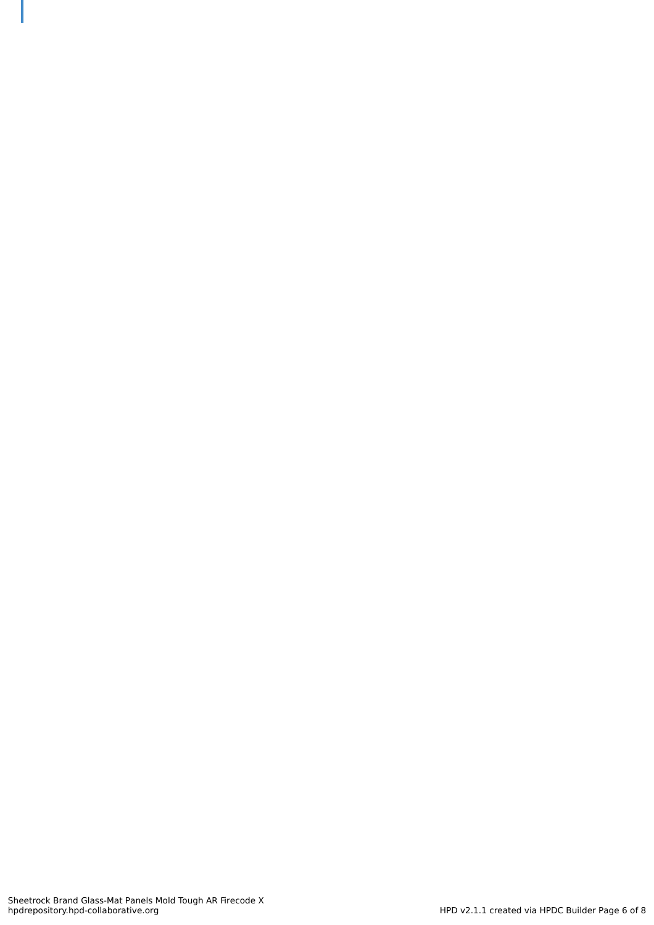Sheetrock Brand Glass-Mat Panels Mold Tough AR Firecode X hpdrepository.hpd-collaborative.org

 $\overline{\phantom{a}}$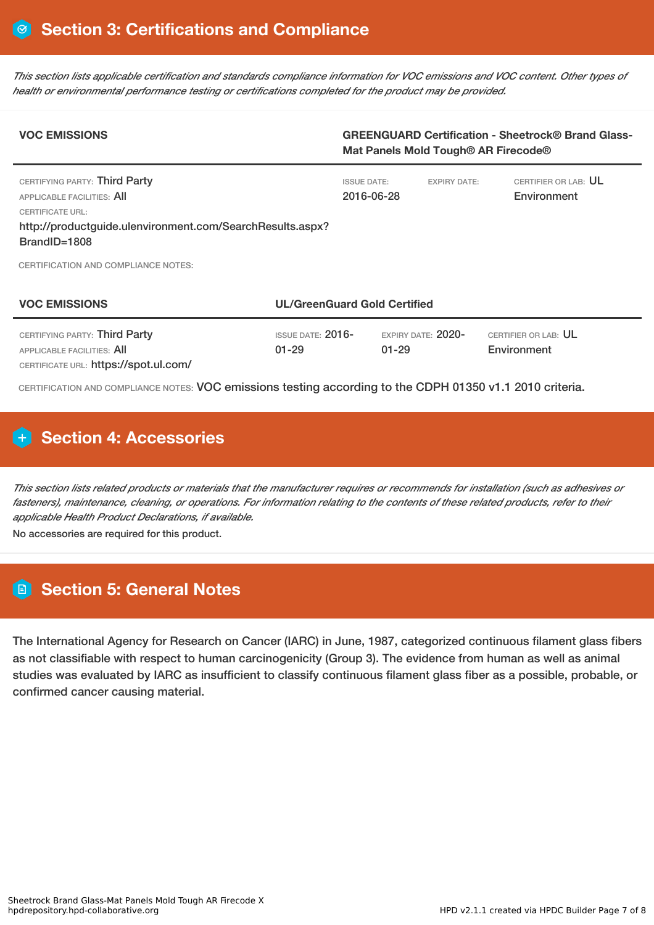This section lists applicable certification and standards compliance information for VOC emissions and VOC content. Other types of *health or environmental performance testing or certifications completed for the product may be provided.*

| <b>VOC EMISSIONS</b>                                                                                                                                                                                              | <b>GREENGUARD Certification - Sheetrock® Brand Glass-</b><br>Mat Panels Mold Tough® AR Firecode® |                                     |                     |                                            |
|-------------------------------------------------------------------------------------------------------------------------------------------------------------------------------------------------------------------|--------------------------------------------------------------------------------------------------|-------------------------------------|---------------------|--------------------------------------------|
| CERTIFYING PARTY: Third Party<br>APPLICABLE FACILITIES: AII<br><b>CERTIFICATE URL:</b><br>http://productguide.ulenvironment.com/SearchResults.aspx?<br>BrandID=1808<br><b>CERTIFICATION AND COMPLIANCE NOTES:</b> |                                                                                                  | <b>ISSUE DATE:</b><br>2016-06-28    | <b>EXPIRY DATE:</b> | CERTIFIER OR LAB: UL<br>Environment        |
| <b>VOC EMISSIONS</b>                                                                                                                                                                                              |                                                                                                  | <b>UL/GreenGuard Gold Certified</b> |                     |                                            |
| CERTIFYING PARTY: Third Party<br>APPLICARLE FACILITIES: AII                                                                                                                                                       | <b>ISSUE DATE: 2016-</b><br>$01 - 29$                                                            | $01 - 29$                           | EXPIRY DATE: 2020-  | CERTIFIER OR LAB: UL<br><b>Environment</b> |

CERTIFICATION AND COMPLIANCE NOTES: VOC emissions testing according to the CDPH 01350 v1.1 2010 criteria.

# **H** Section 4: Accessories

CERTIFICATE URL: https://spot.ul.com/

APPLICABLE FACILITIES: All

This section lists related products or materials that the manufacturer requires or recommends for installation (such as adhesives or fasteners), maintenance, cleaning, or operations. For information relating to the contents of these related products, refer to their *applicable Health Product Declarations, if available.*

No accessories are required for this product.

# **Section 5: General Notes**

The International Agency for Research on Cancer (IARC) in June, 1987, categorized continuous filament glass fibers as not classifiable with respect to human carcinogenicity (Group 3). The evidence from human as well as animal studies was evaluated by IARC as insufficient to classify continuous filament glass fiber as a possible, probable, or confirmed cancer causing material.